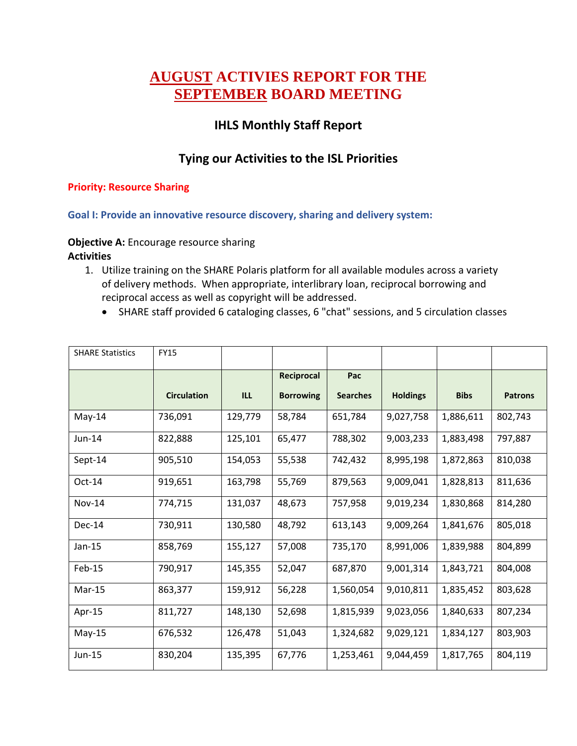# **AUGUST ACTIVIES REPORT FOR THE SEPTEMBER BOARD MEETING**

# **IHLS Monthly Staff Report**

## **Tying our Activities to the ISL Priorities**

#### **Priority: Resource Sharing**

**Goal I: Provide an innovative resource discovery, sharing and delivery system:** 

#### **Objective A:** Encourage resource sharing

- 1. Utilize training on the SHARE Polaris platform for all available modules across a variety of delivery methods. When appropriate, interlibrary loan, reciprocal borrowing and reciprocal access as well as copyright will be addressed.
	- SHARE staff provided 6 cataloging classes, 6 "chat" sessions, and 5 circulation classes

| <b>SHARE Statistics</b> | <b>FY15</b>        |         |                  |                 |                 |             |                |
|-------------------------|--------------------|---------|------------------|-----------------|-----------------|-------------|----------------|
|                         |                    |         | Reciprocal       | Pac             |                 |             |                |
|                         | <b>Circulation</b> | ILL     | <b>Borrowing</b> | <b>Searches</b> | <b>Holdings</b> | <b>Bibs</b> | <b>Patrons</b> |
| May-14                  | 736,091            | 129,779 | 58,784           | 651,784         | 9,027,758       | 1,886,611   | 802,743        |
| Jun-14                  | 822,888            | 125,101 | 65,477           | 788,302         | 9,003,233       | 1,883,498   | 797,887        |
| Sept-14                 | 905,510            | 154,053 | 55,538           | 742,432         | 8,995,198       | 1,872,863   | 810,038        |
| $Oct-14$                | 919,651            | 163,798 | 55,769           | 879,563         | 9,009,041       | 1,828,813   | 811,636        |
| <b>Nov-14</b>           | 774,715            | 131,037 | 48,673           | 757,958         | 9,019,234       | 1,830,868   | 814,280        |
| $Dec-14$                | 730,911            | 130,580 | 48,792           | 613,143         | 9,009,264       | 1,841,676   | 805,018        |
| $Jan-15$                | 858,769            | 155,127 | 57,008           | 735,170         | 8,991,006       | 1,839,988   | 804,899        |
| Feb-15                  | 790,917            | 145,355 | 52,047           | 687,870         | 9,001,314       | 1,843,721   | 804,008        |
| Mar-15                  | 863,377            | 159,912 | 56,228           | 1,560,054       | 9,010,811       | 1,835,452   | 803,628        |
| Apr-15                  | 811,727            | 148,130 | 52,698           | 1,815,939       | 9,023,056       | 1,840,633   | 807,234        |
| $May-15$                | 676,532            | 126,478 | 51,043           | 1,324,682       | 9,029,121       | 1,834,127   | 803,903        |
| Jun-15                  | 830,204            | 135,395 | 67,776           | 1,253,461       | 9,044,459       | 1,817,765   | 804,119        |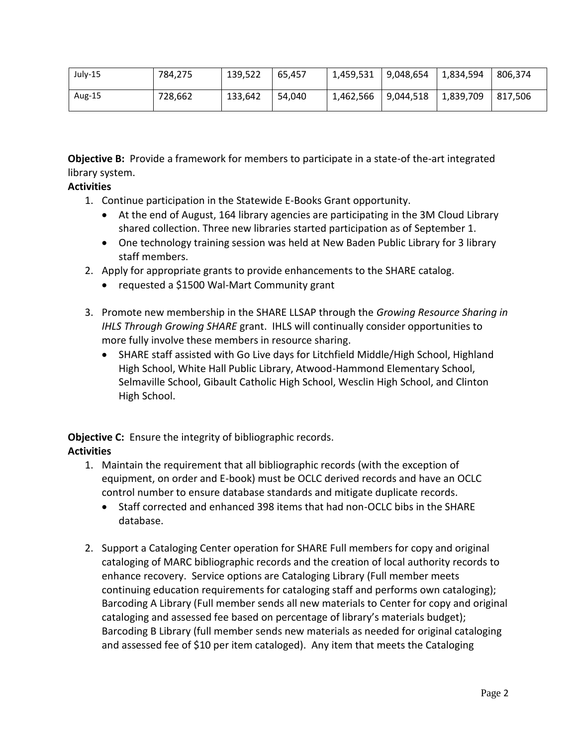| July-15 | 784,275 | 139,522 | 65.457 | 1,459,531 | 9,048,654 | 1,834,594 | 806.374 |
|---------|---------|---------|--------|-----------|-----------|-----------|---------|
| Aug-15  | 728.662 | 133,642 | 54.040 | 1,462,566 | 9,044,518 | 1.839.709 | 817.506 |

**Objective B:** Provide a framework for members to participate in a state-of the-art integrated library system.

## **Activities**

- 1. Continue participation in the Statewide E-Books Grant opportunity.
	- At the end of August, 164 library agencies are participating in the 3M Cloud Library shared collection. Three new libraries started participation as of September 1.
	- One technology training session was held at New Baden Public Library for 3 library staff members.
- 2. Apply for appropriate grants to provide enhancements to the SHARE catalog.
	- requested a \$1500 Wal-Mart Community grant
- 3. Promote new membership in the SHARE LLSAP through the *Growing Resource Sharing in IHLS Through Growing SHARE* grant. IHLS will continually consider opportunities to more fully involve these members in resource sharing.
	- SHARE staff assisted with Go Live days for Litchfield Middle/High School, Highland High School, White Hall Public Library, Atwood-Hammond Elementary School, Selmaville School, Gibault Catholic High School, Wesclin High School, and Clinton High School.

**Objective C:** Ensure the integrity of bibliographic records.

- 1. Maintain the requirement that all bibliographic records (with the exception of equipment, on order and E-book) must be OCLC derived records and have an OCLC control number to ensure database standards and mitigate duplicate records.
	- Staff corrected and enhanced 398 items that had non-OCLC bibs in the SHARE database.
- 2. Support a Cataloging Center operation for SHARE Full members for copy and original cataloging of MARC bibliographic records and the creation of local authority records to enhance recovery. Service options are Cataloging Library (Full member meets continuing education requirements for cataloging staff and performs own cataloging); Barcoding A Library (Full member sends all new materials to Center for copy and original cataloging and assessed fee based on percentage of library's materials budget); Barcoding B Library (full member sends new materials as needed for original cataloging and assessed fee of \$10 per item cataloged). Any item that meets the Cataloging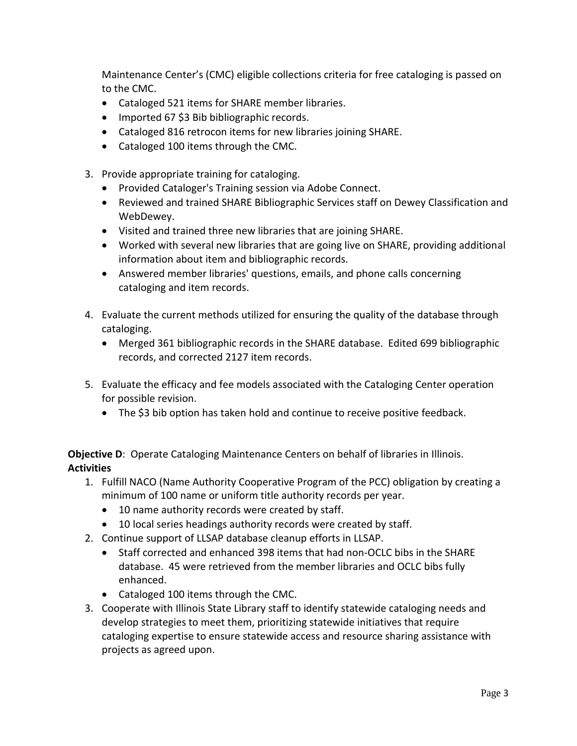Maintenance Center's (CMC) eligible collections criteria for free cataloging is passed on to the CMC.

- Cataloged 521 items for SHARE member libraries.
- Imported 67 \$3 Bib bibliographic records.
- Cataloged 816 retrocon items for new libraries joining SHARE.
- Cataloged 100 items through the CMC.
- 3. Provide appropriate training for cataloging.
	- Provided Cataloger's Training session via Adobe Connect.
	- Reviewed and trained SHARE Bibliographic Services staff on Dewey Classification and WebDewey.
	- Visited and trained three new libraries that are joining SHARE.
	- Worked with several new libraries that are going live on SHARE, providing additional information about item and bibliographic records.
	- Answered member libraries' questions, emails, and phone calls concerning cataloging and item records.
- 4. Evaluate the current methods utilized for ensuring the quality of the database through cataloging.
	- Merged 361 bibliographic records in the SHARE database. Edited 699 bibliographic records, and corrected 2127 item records.
- 5. Evaluate the efficacy and fee models associated with the Cataloging Center operation for possible revision.
	- The \$3 bib option has taken hold and continue to receive positive feedback.

**Objective D:** Operate Cataloging Maintenance Centers on behalf of libraries in Illinois. **Activities**

- 1. Fulfill NACO (Name Authority Cooperative Program of the PCC) obligation by creating a minimum of 100 name or uniform title authority records per year.
	- 10 name authority records were created by staff.
	- 10 local series headings authority records were created by staff.
- 2. Continue support of LLSAP database cleanup efforts in LLSAP.
	- Staff corrected and enhanced 398 items that had non-OCLC bibs in the SHARE database. 45 were retrieved from the member libraries and OCLC bibs fully enhanced.
	- Cataloged 100 items through the CMC.
- 3. Cooperate with Illinois State Library staff to identify statewide cataloging needs and develop strategies to meet them, prioritizing statewide initiatives that require cataloging expertise to ensure statewide access and resource sharing assistance with projects as agreed upon.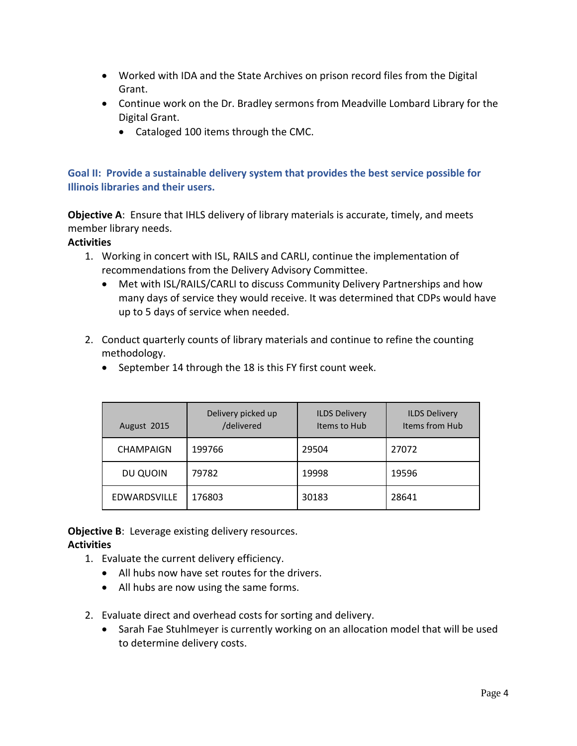- Worked with IDA and the State Archives on prison record files from the Digital Grant.
- Continue work on the Dr. Bradley sermons from Meadville Lombard Library for the Digital Grant.
	- Cataloged 100 items through the CMC.

## **Goal II: Provide a sustainable delivery system that provides the best service possible for Illinois libraries and their users.**

**Objective A**: Ensure that IHLS delivery of library materials is accurate, timely, and meets member library needs.

## **Activities**

- 1. Working in concert with ISL, RAILS and CARLI, continue the implementation of recommendations from the Delivery Advisory Committee.
	- Met with ISL/RAILS/CARLI to discuss Community Delivery Partnerships and how many days of service they would receive. It was determined that CDPs would have up to 5 days of service when needed.
- 2. Conduct quarterly counts of library materials and continue to refine the counting methodology.
	- September 14 through the 18 is this FY first count week.

| August 2015      | Delivery picked up<br>/delivered | <b>ILDS Delivery</b><br>Items to Hub | <b>ILDS Delivery</b><br>Items from Hub |
|------------------|----------------------------------|--------------------------------------|----------------------------------------|
| <b>CHAMPAIGN</b> | 199766                           | 29504                                | 27072                                  |
| DU QUOIN         | 79782                            | 19998                                | 19596                                  |
| EDWARDSVILLE     | 176803                           | 30183                                | 28641                                  |

**Objective B:** Leverage existing delivery resources.

- 1. Evaluate the current delivery efficiency.
	- All hubs now have set routes for the drivers.
	- All hubs are now using the same forms.
- 2. Evaluate direct and overhead costs for sorting and delivery.
	- Sarah Fae Stuhlmeyer is currently working on an allocation model that will be used to determine delivery costs.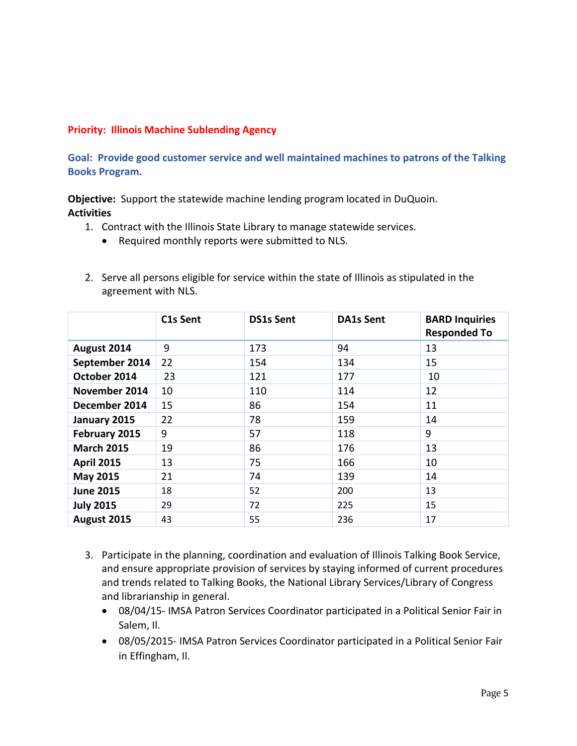#### **Priority: Illinois Machine Sublending Agency**

**Goal: Provide good customer service and well maintained machines to patrons of the Talking Books Program.**

**Objective:** Support the statewide machine lending program located in DuQuoin. **Activities**

- 1. Contract with the Illinois State Library to manage statewide services.
	- Required monthly reports were submitted to NLS.
- 2. Serve all persons eligible for service within the state of Illinois as stipulated in the agreement with NLS.

|                   | C1s Sent | <b>DS1s Sent</b> | <b>DA1s Sent</b> | <b>BARD Inquiries</b><br><b>Responded To</b> |
|-------------------|----------|------------------|------------------|----------------------------------------------|
| August 2014       | 9        | 173              | 94               | 13                                           |
| September 2014    | 22       | 154              | 134              | 15                                           |
| October 2014      | 23       | 121              | 177              | 10                                           |
| November 2014     | 10       | 110              | 114              | 12                                           |
| December 2014     | 15       | 86               | 154              | 11                                           |
| January 2015      | 22       | 78               | 159              | 14                                           |
| February 2015     | 9        | 57               | 118              | 9                                            |
| <b>March 2015</b> | 19       | 86               | 176              | 13                                           |
| <b>April 2015</b> | 13       | 75               | 166              | 10                                           |
| May 2015          | 21       | 74               | 139              | 14                                           |
| <b>June 2015</b>  | 18       | 52               | 200              | 13                                           |
| <b>July 2015</b>  | 29       | 72               | 225              | 15                                           |
| August 2015       | 43       | 55               | 236              | 17                                           |

- 3. Participate in the planning, coordination and evaluation of Illinois Talking Book Service, and ensure appropriate provision of services by staying informed of current procedures and trends related to Talking Books, the National Library Services/Library of Congress and librarianship in general.
	- 08/04/15- IMSA Patron Services Coordinator participated in a Political Senior Fair in Salem, Il.
	- 08/05/2015- IMSA Patron Services Coordinator participated in a Political Senior Fair in Effingham, Il.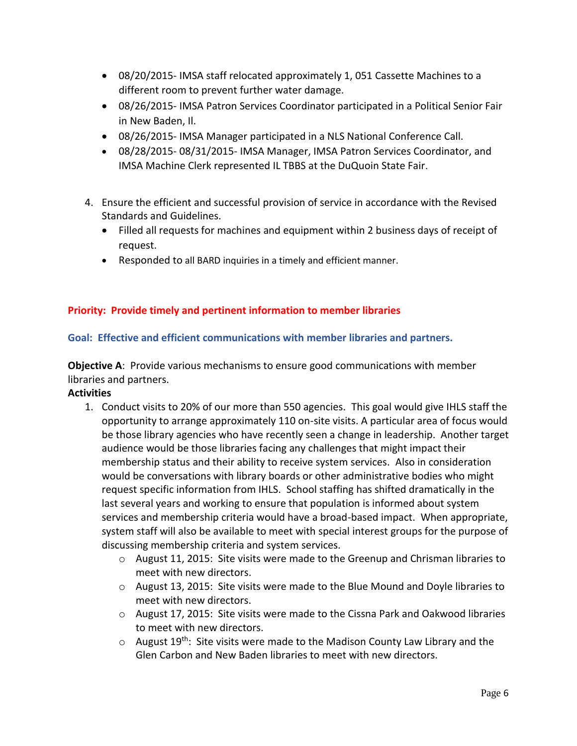- 08/20/2015- IMSA staff relocated approximately 1, 051 Cassette Machines to a different room to prevent further water damage.
- 08/26/2015- IMSA Patron Services Coordinator participated in a Political Senior Fair in New Baden, Il.
- 08/26/2015- IMSA Manager participated in a NLS National Conference Call.
- 08/28/2015- 08/31/2015- IMSA Manager, IMSA Patron Services Coordinator, and IMSA Machine Clerk represented IL TBBS at the DuQuoin State Fair.
- 4. Ensure the efficient and successful provision of service in accordance with the Revised Standards and Guidelines.
	- Filled all requests for machines and equipment within 2 business days of receipt of request.
	- Responded to all BARD inquiries in a timely and efficient manner.

## **Priority: Provide timely and pertinent information to member libraries**

## **Goal: Effective and efficient communications with member libraries and partners.**

**Objective A**: Provide various mechanisms to ensure good communications with member libraries and partners.

- 1. Conduct visits to 20% of our more than 550 agencies. This goal would give IHLS staff the opportunity to arrange approximately 110 on-site visits. A particular area of focus would be those library agencies who have recently seen a change in leadership. Another target audience would be those libraries facing any challenges that might impact their membership status and their ability to receive system services. Also in consideration would be conversations with library boards or other administrative bodies who might request specific information from IHLS. School staffing has shifted dramatically in the last several years and working to ensure that population is informed about system services and membership criteria would have a broad-based impact. When appropriate, system staff will also be available to meet with special interest groups for the purpose of discussing membership criteria and system services.
	- o August 11, 2015: Site visits were made to the Greenup and Chrisman libraries to meet with new directors.
	- $\circ$  August 13, 2015: Site visits were made to the Blue Mound and Doyle libraries to meet with new directors.
	- o August 17, 2015: Site visits were made to the Cissna Park and Oakwood libraries to meet with new directors.
	- $\circ$  August 19<sup>th</sup>: Site visits were made to the Madison County Law Library and the Glen Carbon and New Baden libraries to meet with new directors.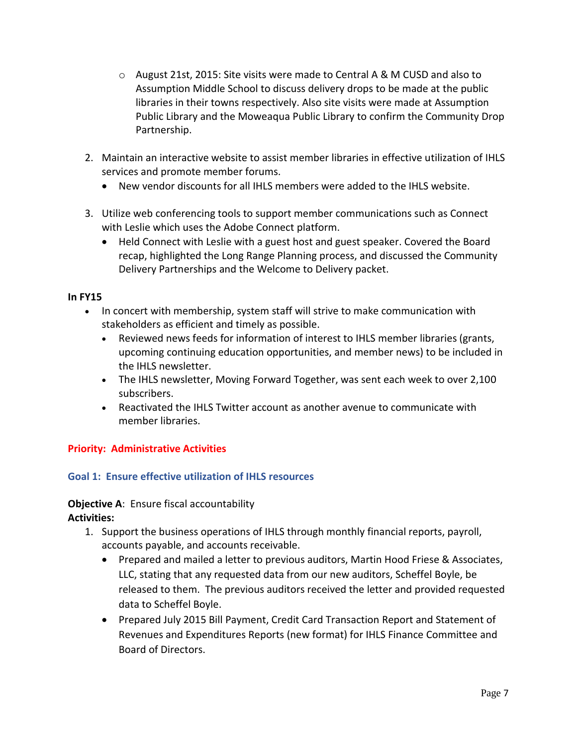- $\circ$  August 21st, 2015: Site visits were made to Central A & M CUSD and also to Assumption Middle School to discuss delivery drops to be made at the public libraries in their towns respectively. Also site visits were made at Assumption Public Library and the Moweaqua Public Library to confirm the Community Drop Partnership.
- 2. Maintain an interactive website to assist member libraries in effective utilization of IHLS services and promote member forums.
	- New vendor discounts for all IHLS members were added to the IHLS website.
- 3. Utilize web conferencing tools to support member communications such as Connect with Leslie which uses the Adobe Connect platform.
	- Held Connect with Leslie with a guest host and guest speaker. Covered the Board recap, highlighted the Long Range Planning process, and discussed the Community Delivery Partnerships and the Welcome to Delivery packet.

## **In FY15**

- In concert with membership, system staff will strive to make communication with stakeholders as efficient and timely as possible.
	- Reviewed news feeds for information of interest to IHLS member libraries (grants, upcoming continuing education opportunities, and member news) to be included in the IHLS newsletter.
	- The IHLS newsletter, Moving Forward Together, was sent each week to over 2,100 subscribers.
	- Reactivated the IHLS Twitter account as another avenue to communicate with member libraries.

## **Priority: Administrative Activities**

## **Goal 1: Ensure effective utilization of IHLS resources**

#### **Objective A: Ensure fiscal accountability**

- 1. Support the business operations of IHLS through monthly financial reports, payroll, accounts payable, and accounts receivable.
	- Prepared and mailed a letter to previous auditors, Martin Hood Friese & Associates, LLC, stating that any requested data from our new auditors, Scheffel Boyle, be released to them. The previous auditors received the letter and provided requested data to Scheffel Boyle.
	- Prepared July 2015 Bill Payment, Credit Card Transaction Report and Statement of Revenues and Expenditures Reports (new format) for IHLS Finance Committee and Board of Directors.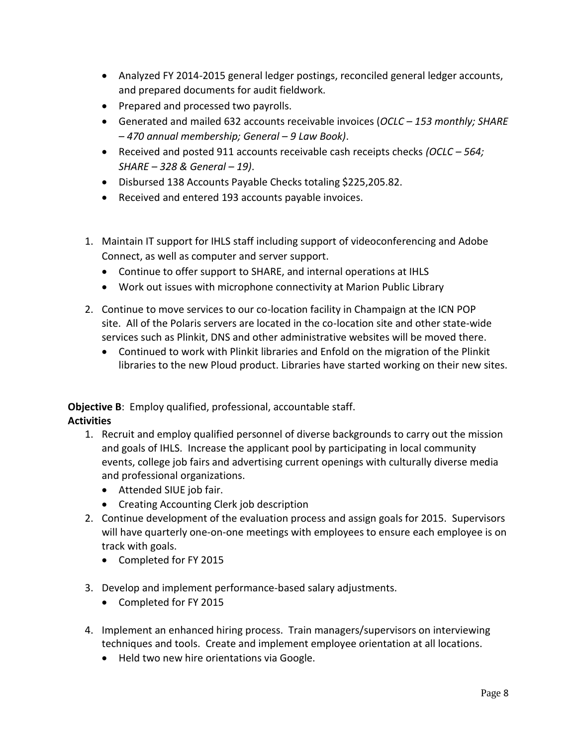- Analyzed FY 2014-2015 general ledger postings, reconciled general ledger accounts, and prepared documents for audit fieldwork.
- Prepared and processed two payrolls.
- Generated and mailed 632 accounts receivable invoices (*OCLC – 153 monthly; SHARE – 470 annual membership; General – 9 Law Book)*.
- Received and posted 911 accounts receivable cash receipts checks *(OCLC – 564; SHARE – 328 & General – 19)*.
- Disbursed 138 Accounts Payable Checks totaling \$225,205.82.
- Received and entered 193 accounts payable invoices.
- 1. Maintain IT support for IHLS staff including support of videoconferencing and Adobe Connect, as well as computer and server support.
	- Continue to offer support to SHARE, and internal operations at IHLS
	- Work out issues with microphone connectivity at Marion Public Library
- 2. Continue to move services to our co-location facility in Champaign at the ICN POP site. All of the Polaris servers are located in the co-location site and other state-wide services such as Plinkit, DNS and other administrative websites will be moved there.
	- Continued to work with Plinkit libraries and Enfold on the migration of the Plinkit libraries to the new Ploud product. Libraries have started working on their new sites.

**Objective B**: Employ qualified, professional, accountable staff.

- 1. Recruit and employ qualified personnel of diverse backgrounds to carry out the mission and goals of IHLS. Increase the applicant pool by participating in local community events, college job fairs and advertising current openings with culturally diverse media and professional organizations.
	- Attended SIUE job fair.
	- Creating Accounting Clerk job description
- 2. Continue development of the evaluation process and assign goals for 2015. Supervisors will have quarterly one-on-one meetings with employees to ensure each employee is on track with goals.
	- Completed for FY 2015
- 3. Develop and implement performance-based salary adjustments.
	- Completed for FY 2015
- 4. Implement an enhanced hiring process. Train managers/supervisors on interviewing techniques and tools. Create and implement employee orientation at all locations.
	- Held two new hire orientations via Google.